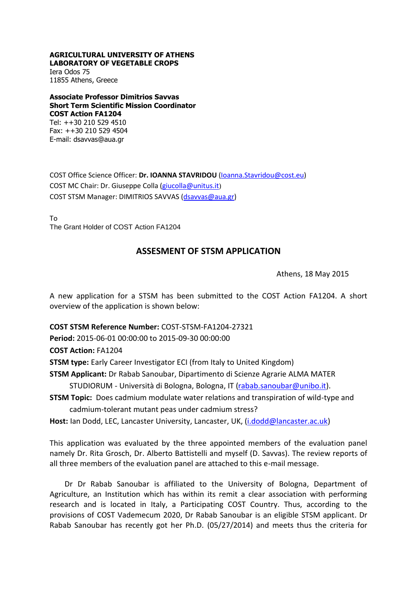## **AGRICULTURAL UNIVERSITY OF ATHENS LABORATORY OF VEGETABLE CROPS**

Iera Odos 75 11855 Athens, Greece

**Associate Professor Dimitrios Savvas Short Term Scientific Mission Coordinator COST Action FA1204** Tel: ++30 210 529 4510

Fax: ++30 210 529 4504 E-mail: dsavvas@aua.gr

COST Office Science Officer: **Dr. IOANNA STAVRIDOU** [\(Ioanna.Stavridou@cost.eu\)](mailto:Ioanna.Stavridou@cost.eu) COST MC Chair: Dr. Giuseppe Colla [\(giucolla@unitus.it](mailto:giucolla@unitus.it)) COST STSM Manager: DIMITRIOS SAVVAS [\(dsavvas@aua.gr\)](mailto:dsavvas@aua.gr)

To The Grant Holder of COST Action FA1204

## **ASSESMENT OF STSM APPLICATION**

Athens, 18 May 2015

A new application for a STSM has been submitted to the COST Action FA1204. A short overview of the application is shown below:

**COST STSM Reference Number:** COST-STSM-FA1204-27321

**Period:** 2015-06-01 00:00:00 to 2015-09-30 00:00:00

**COST Action:** FA1204

**STSM type:** Early Career Investigator ECI (from Italy to United Kingdom)

**STSM Applicant:** Dr Rabab Sanoubar, Dipartimento di Scienze Agrarie ALMA MATER

STUDIORUM - Università di Bologna, Bologna, IT [\(rabab.sanoubar@unibo.it\)](mailto:rabab.sanoubar@unibo.it).

**STSM Topic:** Does cadmium modulate water relations and transpiration of wild-type and cadmium-tolerant mutant peas under cadmium stress?

**Host:** Ian Dodd, LEC, Lancaster University, Lancaster, UK, [\(i.dodd@lancaster.ac.uk\)](mailto:i.dodd@lancaster.ac.uk)

This application was evaluated by the three appointed members of the evaluation panel namely Dr. Rita Grosch, Dr. Alberto Battistelli and myself (D. Savvas). The review reports of all three members of the evaluation panel are attached to this e-mail message.

Dr Dr Rabab Sanoubar is affiliated to the University of Bologna, Department of Agriculture, an Institution which has within its remit a clear association with performing research and is located in Italy, a Participating COST Country. Thus, according to the provisions of COST Vademecum 2020, Dr Rabab Sanoubar is an eligible STSM applicant. Dr Rabab Sanoubar has recently got her Ph.D. (05/27/2014) and meets thus the criteria for